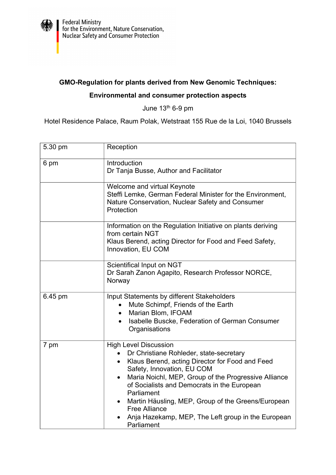

## **GMO-Regulation for plants derived from New Genomic Techniques:**

## **Environmental and consumer protection aspects**

June 13th 6-9 pm

Hotel Residence Palace, Raum Polak, Wetstraat 155 Rue de la Loi, 1040 Brussels

| 5.30 pm | Reception                                                                                                                                                                                                                                                                                                                                                                                                                                                              |
|---------|------------------------------------------------------------------------------------------------------------------------------------------------------------------------------------------------------------------------------------------------------------------------------------------------------------------------------------------------------------------------------------------------------------------------------------------------------------------------|
| 6 pm    | Introduction<br>Dr Tanja Busse, Author and Facilitator                                                                                                                                                                                                                                                                                                                                                                                                                 |
|         | Welcome and virtual Keynote<br>Steffi Lemke, German Federal Minister for the Environment,<br>Nature Conservation, Nuclear Safety and Consumer<br>Protection                                                                                                                                                                                                                                                                                                            |
|         | Information on the Regulation Initiative on plants deriving<br>from certain NGT<br>Klaus Berend, acting Director for Food and Feed Safety,<br>Innovation, EU COM                                                                                                                                                                                                                                                                                                       |
|         | Scientifical Input on NGT<br>Dr Sarah Zanon Agapito, Research Professor NORCE,<br>Norway                                                                                                                                                                                                                                                                                                                                                                               |
| 6.45 pm | Input Statements by different Stakeholders<br>Mute Schimpf, Friends of the Earth<br>$\bullet$<br>Marian Blom, IFOAM<br>$\bullet$<br>Isabelle Buscke, Federation of German Consumer<br>$\bullet$<br>Organisations                                                                                                                                                                                                                                                       |
| 7 pm    | <b>High Level Discussion</b><br>Dr Christiane Rohleder, state-secretary<br>Klaus Berend, acting Director for Food and Feed<br>$\bullet$<br>Safety, Innovation, EU COM<br>Maria Noichl, MEP, Group of the Progressive Alliance<br>$\bullet$<br>of Socialists and Democrats in the European<br>Parliament<br>Martin Häusling, MEP, Group of the Greens/European<br>$\bullet$<br><b>Free Alliance</b><br>Anja Hazekamp, MEP, The Left group in the European<br>Parliament |